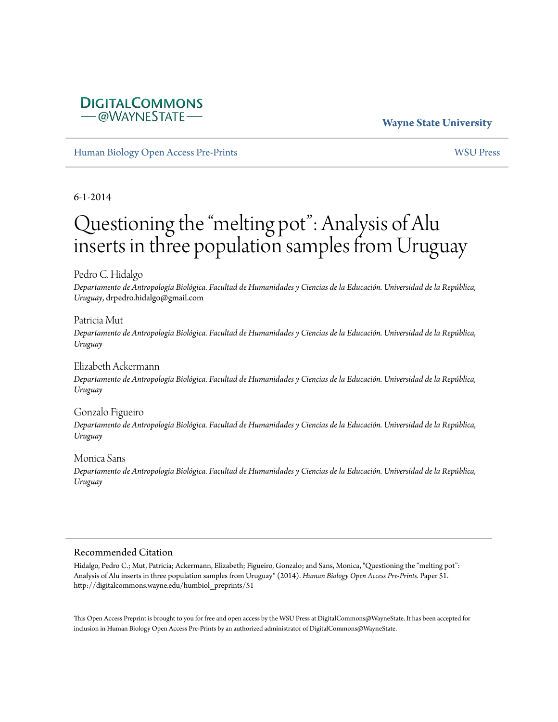### **Wayne State University**

[Human Biology Open Access Pre-Prints](http://digitalcommons.wayne.edu/humbiol_preprints) [WSU Press](http://digitalcommons.wayne.edu/wsupress)

**DIGITALCOMMONS** -@WAYNESTATE-

6-1-2014

# Questioning the "melting pot": Analysis of Alu inserts in three population samples from Uruguay

Pedro C. Hidalgo

*Departamento de Antropología Biológica. Facultad de Humanidades y Ciencias de la Educación. Universidad de la República, Uruguay*, drpedro.hidalgo@gmail.com

Patricia Mut

*Departamento de Antropología Biológica. Facultad de Humanidades y Ciencias de la Educación. Universidad de la República, Uruguay*

Elizabeth Ackermann *Departamento de Antropología Biológica. Facultad de Humanidades y Ciencias de la Educación. Universidad de la República, Uruguay*

Gonzalo Figueiro *Departamento de Antropología Biológica. Facultad de Humanidades y Ciencias de la Educación. Universidad de la República, Uruguay*

Monica Sans *Departamento de Antropología Biológica. Facultad de Humanidades y Ciencias de la Educación. Universidad de la República, Uruguay*

#### Recommended Citation

Hidalgo, Pedro C.; Mut, Patricia; Ackermann, Elizabeth; Figueiro, Gonzalo; and Sans, Monica, "Questioning the "melting pot": Analysis of Alu inserts in three population samples from Uruguay" (2014). *Human Biology Open Access Pre-Prints.* Paper 51. http://digitalcommons.wayne.edu/humbiol\_preprints/51

This Open Access Preprint is brought to you for free and open access by the WSU Press at DigitalCommons@WayneState. It has been accepted for inclusion in Human Biology Open Access Pre-Prints by an authorized administrator of DigitalCommons@WayneState.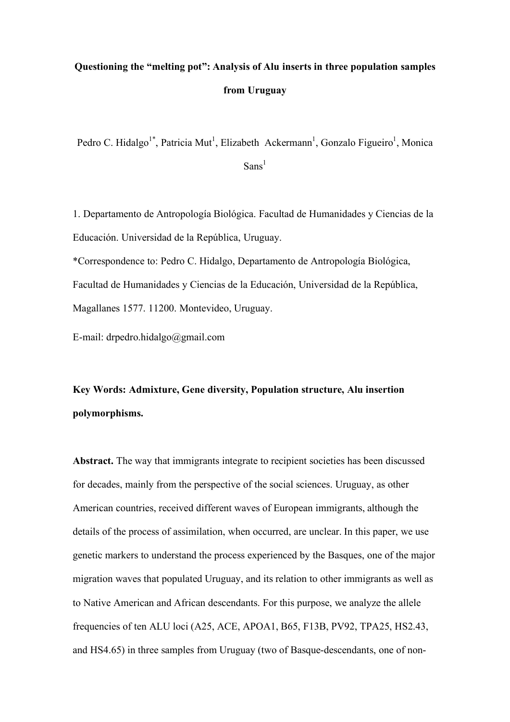## **Questioning the "melting pot": Analysis of Alu inserts in three population samples from Uruguay**

Pedro C. Hidalgo<sup>1\*</sup>, Patricia Mut<sup>1</sup>, Elizabeth Ackermann<sup>1</sup>, Gonzalo Figueiro<sup>1</sup>, Monica  $Sans<sup>1</sup>$ 

1. Departamento de Antropología Biológica. Facultad de Humanidades y Ciencias de la Educación. Universidad de la República, Uruguay.

\*Correspondence to: Pedro C. Hidalgo, Departamento de Antropología Biológica, Facultad de Humanidades y Ciencias de la Educación, Universidad de la República, Magallanes 1577. 11200. Montevideo, Uruguay.

E-mail: drpedro.hidalgo@gmail.com

**Key Words: Admixture, Gene diversity, Population structure, Alu insertion polymorphisms.**

**Abstract.** The way that immigrants integrate to recipient societies has been discussed for decades, mainly from the perspective of the social sciences. Uruguay, as other American countries, received different waves of European immigrants, although the details of the process of assimilation, when occurred, are unclear. In this paper, we use genetic markers to understand the process experienced by the Basques, one of the major migration waves that populated Uruguay, and its relation to other immigrants as well as to Native American and African descendants. For this purpose, we analyze the allele frequencies of ten ALU loci (A25, ACE, APOA1, B65, F13B, PV92, TPA25, HS2.43, and HS4.65) in three samples from Uruguay (two of Basque-descendants, one of non-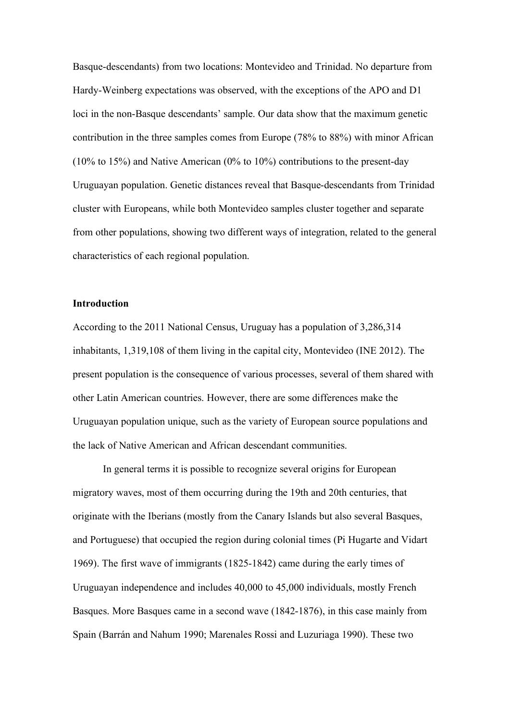Basque-descendants) from two locations: Montevideo and Trinidad. No departure from Hardy-Weinberg expectations was observed, with the exceptions of the APO and D1 loci in the non-Basque descendants' sample. Our data show that the maximum genetic contribution in the three samples comes from Europe (78% to 88%) with minor African (10% to 15%) and Native American (0% to 10%) contributions to the present-day Uruguayan population. Genetic distances reveal that Basque-descendants from Trinidad cluster with Europeans, while both Montevideo samples cluster together and separate from other populations, showing two different ways of integration, related to the general characteristics of each regional population.

#### **Introduction**

According to the 2011 National Census, Uruguay has a population of 3,286,314 inhabitants, 1,319,108 of them living in the capital city, Montevideo (INE 2012). The present population is the consequence of various processes, several of them shared with other Latin American countries. However, there are some differences make the Uruguayan population unique, such as the variety of European source populations and the lack of Native American and African descendant communities.

In general terms it is possible to recognize several origins for European migratory waves, most of them occurring during the 19th and 20th centuries, that originate with the Iberians (mostly from the Canary Islands but also several Basques, and Portuguese) that occupied the region during colonial times (Pi Hugarte and Vidart 1969). The first wave of immigrants (1825-1842) came during the early times of Uruguayan independence and includes 40,000 to 45,000 individuals, mostly French Basques. More Basques came in a second wave (1842-1876), in this case mainly from Spain (Barrán and Nahum 1990; Marenales Rossi and Luzuriaga 1990). These two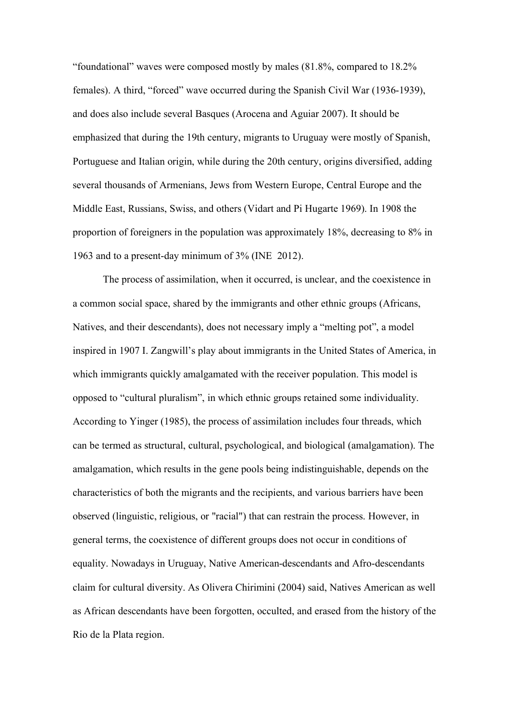"foundational" waves were composed mostly by males (81.8%, compared to 18.2% females). A third, "forced" wave occurred during the Spanish Civil War (1936-1939), and does also include several Basques (Arocena and Aguiar 2007). It should be emphasized that during the 19th century, migrants to Uruguay were mostly of Spanish, Portuguese and Italian origin, while during the 20th century, origins diversified, adding several thousands of Armenians, Jews from Western Europe, Central Europe and the Middle East, Russians, Swiss, and others (Vidart and Pi Hugarte 1969). In 1908 the proportion of foreigners in the population was approximately 18%, decreasing to 8% in 1963 and to a present-day minimum of 3% (INE 2012).

The process of assimilation, when it occurred, is unclear, and the coexistence in a common social space, shared by the immigrants and other ethnic groups (Africans, Natives, and their descendants), does not necessary imply a "melting pot", a model inspired in 1907 I. Zangwill's play about immigrants in the United States of America, in which immigrants quickly amalgamated with the receiver population. This model is opposed to "cultural pluralism", in which ethnic groups retained some individuality. According to Yinger (1985), the process of assimilation includes four threads, which can be termed as structural, cultural, psychological, and biological (amalgamation). The amalgamation, which results in the gene pools being indistinguishable, depends on the characteristics of both the migrants and the recipients, and various barriers have been observed (linguistic, religious, or "racial") that can restrain the process. However, in general terms, the coexistence of different groups does not occur in conditions of equality. Nowadays in Uruguay, Native American-descendants and Afro-descendants claim for cultural diversity. As Olivera Chirimini (2004) said, Natives American as well as African descendants have been forgotten, occulted, and erased from the history of the Rio de la Plata region.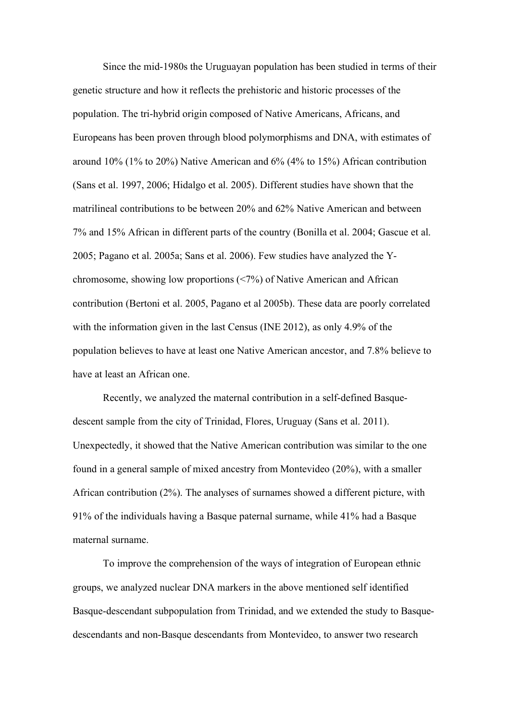Since the mid-1980s the Uruguayan population has been studied in terms of their genetic structure and how it reflects the prehistoric and historic processes of the population. The tri-hybrid origin composed of Native Americans, Africans, and Europeans has been proven through blood polymorphisms and DNA, with estimates of around 10% (1% to 20%) Native American and 6% (4% to 15%) African contribution (Sans et al. 1997, 2006; Hidalgo et al. 2005). Different studies have shown that the matrilineal contributions to be between 20% and 62% Native American and between 7% and 15% African in different parts of the country (Bonilla et al. 2004; Gascue et al. 2005; Pagano et al. 2005a; Sans et al. 2006). Few studies have analyzed the Ychromosome, showing low proportions (<7%) of Native American and African contribution (Bertoni et al. 2005, Pagano et al 2005b). These data are poorly correlated with the information given in the last Census (INE 2012), as only 4.9% of the population believes to have at least one Native American ancestor, and 7.8% believe to have at least an African one.

Recently, we analyzed the maternal contribution in a self-defined Basquedescent sample from the city of Trinidad, Flores, Uruguay (Sans et al. 2011). Unexpectedly, it showed that the Native American contribution was similar to the one found in a general sample of mixed ancestry from Montevideo (20%), with a smaller African contribution (2%). The analyses of surnames showed a different picture, with 91% of the individuals having a Basque paternal surname, while 41% had a Basque maternal surname.

To improve the comprehension of the ways of integration of European ethnic groups, we analyzed nuclear DNA markers in the above mentioned self identified Basque-descendant subpopulation from Trinidad, and we extended the study to Basquedescendants and non-Basque descendants from Montevideo, to answer two research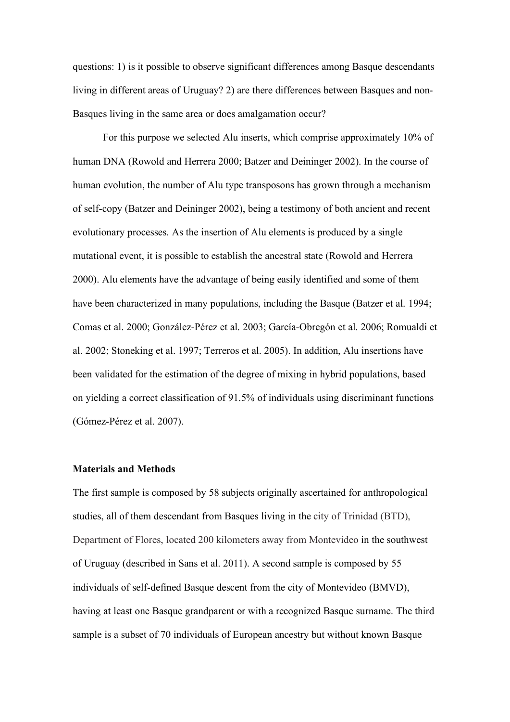questions: 1) is it possible to observe significant differences among Basque descendants living in different areas of Uruguay? 2) are there differences between Basques and non-Basques living in the same area or does amalgamation occur?

For this purpose we selected Alu inserts, which comprise approximately 10% of human DNA (Rowold and Herrera 2000; Batzer and Deininger 2002). In the course of human evolution, the number of Alu type transposons has grown through a mechanism of self-copy (Batzer and Deininger 2002), being a testimony of both ancient and recent evolutionary processes. As the insertion of Alu elements is produced by a single mutational event, it is possible to establish the ancestral state (Rowold and Herrera 2000). Alu elements have the advantage of being easily identified and some of them have been characterized in many populations, including the Basque (Batzer et al. 1994; Comas et al. 2000; González-Pérez et al. 2003; García-Obregón et al. 2006; Romualdi et al. 2002; Stoneking et al. 1997; Terreros et al. 2005). In addition, Alu insertions have been validated for the estimation of the degree of mixing in hybrid populations, based on yielding a correct classification of 91.5% of individuals using discriminant functions (Gómez-Pérez et al. 2007).

#### **Materials and Methods**

The first sample is composed by 58 subjects originally ascertained for anthropological studies, all of them descendant from Basques living in the city of Trinidad (BTD), Department of Flores, located 200 kilometers away from Montevideo in the southwest of Uruguay (described in Sans et al. 2011). A second sample is composed by 55 individuals of self-defined Basque descent from the city of Montevideo (BMVD), having at least one Basque grandparent or with a recognized Basque surname. The third sample is a subset of 70 individuals of European ancestry but without known Basque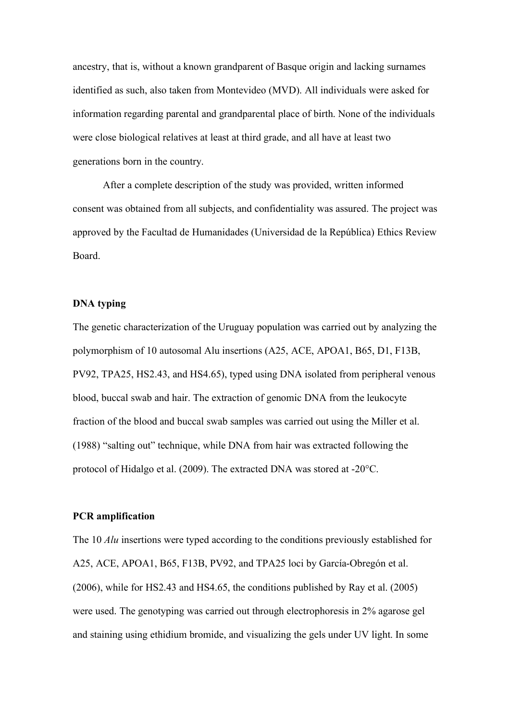ancestry, that is, without a known grandparent of Basque origin and lacking surnames identified as such, also taken from Montevideo (MVD). All individuals were asked for information regarding parental and grandparental place of birth. None of the individuals were close biological relatives at least at third grade, and all have at least two generations born in the country.

After a complete description of the study was provided, written informed consent was obtained from all subjects, and confidentiality was assured. The project was approved by the Facultad de Humanidades (Universidad de la República) Ethics Review Board.

#### **DNA typing**

The genetic characterization of the Uruguay population was carried out by analyzing the polymorphism of 10 autosomal Alu insertions (A25, ACE, APOA1, B65, D1, F13B, PV92, TPA25, HS2.43, and HS4.65), typed using DNA isolated from peripheral venous blood, buccal swab and hair. The extraction of genomic DNA from the leukocyte fraction of the blood and buccal swab samples was carried out using the Miller et al. (1988) "salting out" technique, while DNA from hair was extracted following the protocol of Hidalgo et al. (2009). The extracted DNA was stored at -20°C.

#### **PCR amplification**

The 10 *Alu* insertions were typed according to the conditions previously established for A25, ACE, APOA1, B65, F13B, PV92, and TPA25 loci by García-Obregón et al. (2006), while for HS2.43 and HS4.65, the conditions published by Ray et al. (2005) were used. The genotyping was carried out through electrophoresis in 2% agarose gel and staining using ethidium bromide, and visualizing the gels under UV light. In some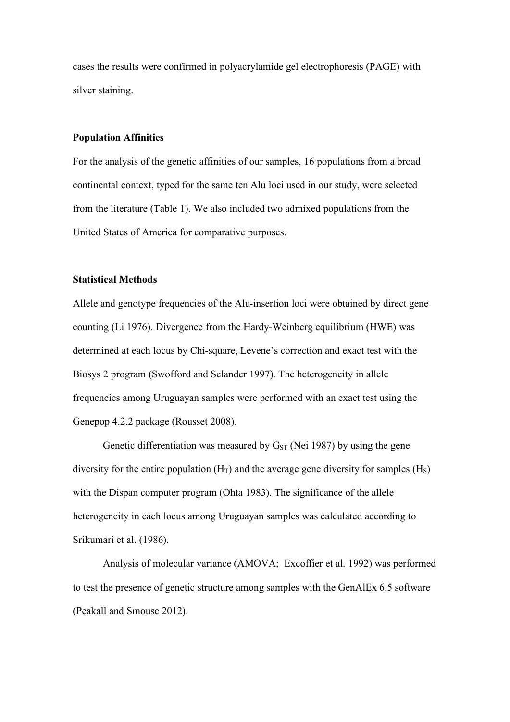cases the results were confirmed in polyacrylamide gel electrophoresis (PAGE) with silver staining.

#### **Population Affinities**

For the analysis of the genetic affinities of our samples, 16 populations from a broad continental context, typed for the same ten Alu loci used in our study, were selected from the literature (Table 1). We also included two admixed populations from the United States of America for comparative purposes.

#### **Statistical Methods**

Allele and genotype frequencies of the Alu-insertion loci were obtained by direct gene counting (Li 1976). Divergence from the Hardy-Weinberg equilibrium (HWE) was determined at each locus by Chi-square, Levene's correction and exact test with the Biosys 2 program (Swofford and Selander 1997). The heterogeneity in allele frequencies among Uruguayan samples were performed with an exact test using the Genepop 4.2.2 package (Rousset 2008).

Genetic differentiation was measured by  $G_{ST}$  (Nei 1987) by using the gene diversity for the entire population  $(H_T)$  and the average gene diversity for samples  $(H_S)$ with the Dispan computer program (Ohta 1983). The significance of the allele heterogeneity in each locus among Uruguayan samples was calculated according to Srikumari et al. (1986).

Analysis of molecular variance (AMOVA; Excoffier et al. 1992) was performed to test the presence of genetic structure among samples with the GenAlEx 6.5 software (Peakall and Smouse 2012).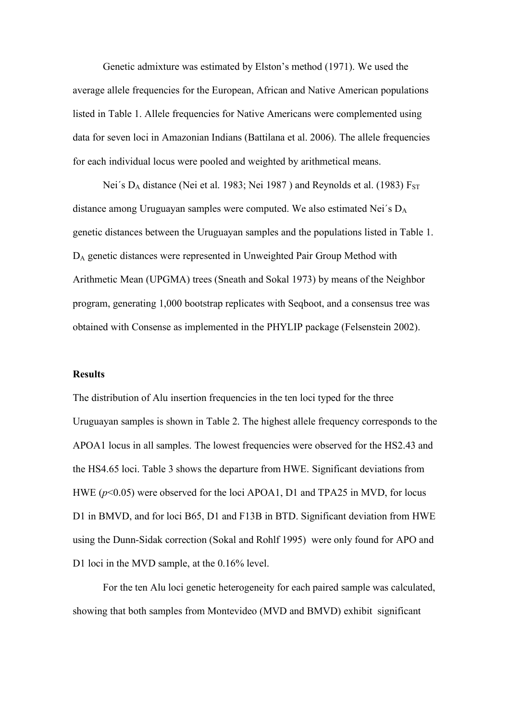Genetic admixture was estimated by Elston's method (1971). We used the average allele frequencies for the European, African and Native American populations listed in Table 1. Allele frequencies for Native Americans were complemented using data for seven loci in Amazonian Indians (Battilana et al. 2006). The allele frequencies for each individual locus were pooled and weighted by arithmetical means.

Nei's  $D_A$  distance (Nei et al. 1983; Nei 1987) and Reynolds et al. (1983)  $F_{ST}$ distance among Uruguayan samples were computed. We also estimated Nei´s DA genetic distances between the Uruguayan samples and the populations listed in Table 1. DA genetic distances were represented in Unweighted Pair Group Method with Arithmetic Mean (UPGMA) trees (Sneath and Sokal 1973) by means of the Neighbor program, generating 1,000 bootstrap replicates with Seqboot, and a consensus tree was obtained with Consense as implemented in the PHYLIP package (Felsenstein 2002).

#### **Results**

The distribution of Alu insertion frequencies in the ten loci typed for the three Uruguayan samples is shown in Table 2. The highest allele frequency corresponds to the APOA1 locus in all samples. The lowest frequencies were observed for the HS2.43 and the HS4.65 loci. Table 3 shows the departure from HWE. Significant deviations from HWE ( $p$ <0.05) were observed for the loci APOA1, D1 and TPA25 in MVD, for locus D1 in BMVD, and for loci B65, D1 and F13B in BTD. Significant deviation from HWE using the Dunn-Sidak correction (Sokal and Rohlf 1995) were only found for APO and D1 loci in the MVD sample, at the 0.16% level.

For the ten Alu loci genetic heterogeneity for each paired sample was calculated, showing that both samples from Montevideo (MVD and BMVD) exhibit significant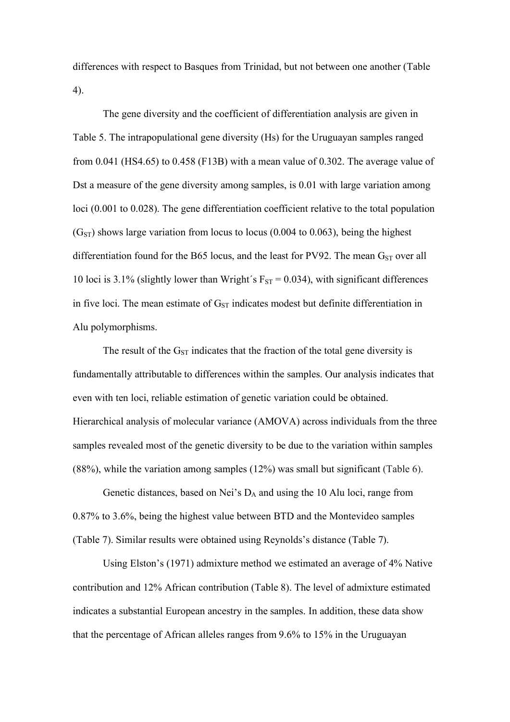differences with respect to Basques from Trinidad, but not between one another (Table 4).

The gene diversity and the coefficient of differentiation analysis are given in Table 5. The intrapopulational gene diversity (Hs) for the Uruguayan samples ranged from 0.041 (HS4.65) to 0.458 (F13B) with a mean value of 0.302. The average value of Dst a measure of the gene diversity among samples, is 0.01 with large variation among loci (0.001 to 0.028). The gene differentiation coefficient relative to the total population  $(G<sub>ST</sub>)$  shows large variation from locus to locus (0.004 to 0.063), being the highest differentiation found for the B65 locus, and the least for PV92. The mean  $G<sub>ST</sub>$  over all 10 loci is 3.1% (slightly lower than Wright's  $F_{ST} = 0.034$ ), with significant differences in five loci. The mean estimate of  $G<sub>ST</sub>$  indicates modest but definite differentiation in Alu polymorphisms.

The result of the  $G<sub>ST</sub>$  indicates that the fraction of the total gene diversity is fundamentally attributable to differences within the samples. Our analysis indicates that even with ten loci, reliable estimation of genetic variation could be obtained. Hierarchical analysis of molecular variance (AMOVA) across individuals from the three samples revealed most of the genetic diversity to be due to the variation within samples (88%), while the variation among samples (12%) was small but significant (Table 6).

Genetic distances, based on Nei's  $D_A$  and using the 10 Alu loci, range from 0.87% to 3.6%, being the highest value between BTD and the Montevideo samples (Table 7). Similar results were obtained using Reynolds's distance (Table 7).

Using Elston's (1971) admixture method we estimated an average of 4% Native contribution and 12% African contribution (Table 8). The level of admixture estimated indicates a substantial European ancestry in the samples. In addition, these data show that the percentage of African alleles ranges from 9.6% to 15% in the Uruguayan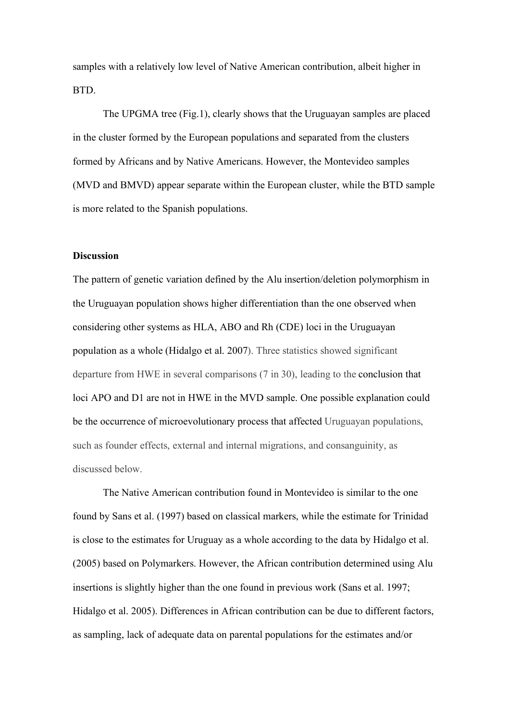samples with a relatively low level of Native American contribution, albeit higher in BTD.

The UPGMA tree (Fig.1), clearly shows that the Uruguayan samples are placed in the cluster formed by the European populations and separated from the clusters formed by Africans and by Native Americans. However, the Montevideo samples (MVD and BMVD) appear separate within the European cluster, while the BTD sample is more related to the Spanish populations.

#### **Discussion**

The pattern of genetic variation defined by the Alu insertion/deletion polymorphism in the Uruguayan population shows higher differentiation than the one observed when considering other systems as HLA, ABO and Rh (CDE) loci in the Uruguayan population as a whole (Hidalgo et al. 2007). Three statistics showed significant departure from HWE in several comparisons (7 in 30), leading to the conclusion that loci APO and D1 are not in HWE in the MVD sample. One possible explanation could be the occurrence of microevolutionary process that affected Uruguayan populations, such as founder effects, external and internal migrations, and consanguinity, as discussed below.

The Native American contribution found in Montevideo is similar to the one found by Sans et al. (1997) based on classical markers, while the estimate for Trinidad is close to the estimates for Uruguay as a whole according to the data by Hidalgo et al. (2005) based on Polymarkers. However, the African contribution determined using Alu insertions is slightly higher than the one found in previous work (Sans et al. 1997; Hidalgo et al. 2005). Differences in African contribution can be due to different factors, as sampling, lack of adequate data on parental populations for the estimates and/or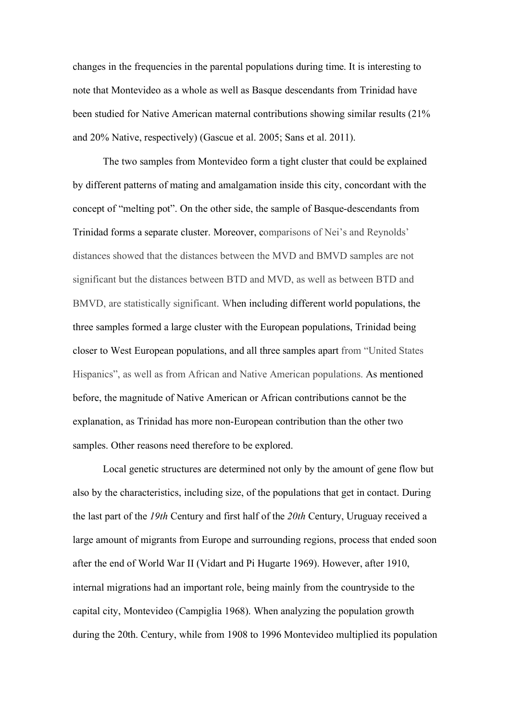changes in the frequencies in the parental populations during time. It is interesting to note that Montevideo as a whole as well as Basque descendants from Trinidad have been studied for Native American maternal contributions showing similar results (21% and 20% Native, respectively) (Gascue et al. 2005; Sans et al. 2011).

The two samples from Montevideo form a tight cluster that could be explained by different patterns of mating and amalgamation inside this city, concordant with the concept of "melting pot". On the other side, the sample of Basque-descendants from Trinidad forms a separate cluster. Moreover, comparisons of Nei's and Reynolds' distances showed that the distances between the MVD and BMVD samples are not significant but the distances between BTD and MVD, as well as between BTD and BMVD, are statistically significant. When including different world populations, the three samples formed a large cluster with the European populations, Trinidad being closer to West European populations, and all three samples apart from "United States Hispanics", as well as from African and Native American populations. As mentioned before, the magnitude of Native American or African contributions cannot be the explanation, as Trinidad has more non-European contribution than the other two samples. Other reasons need therefore to be explored.

Local genetic structures are determined not only by the amount of gene flow but also by the characteristics, including size, of the populations that get in contact. During the last part of the *19th* Century and first half of the *20th* Century, Uruguay received a large amount of migrants from Europe and surrounding regions, process that ended soon after the end of World War II (Vidart and Pi Hugarte 1969). However, after 1910, internal migrations had an important role, being mainly from the countryside to the capital city, Montevideo (Campiglia 1968). When analyzing the population growth during the 20th. Century, while from 1908 to 1996 Montevideo multiplied its population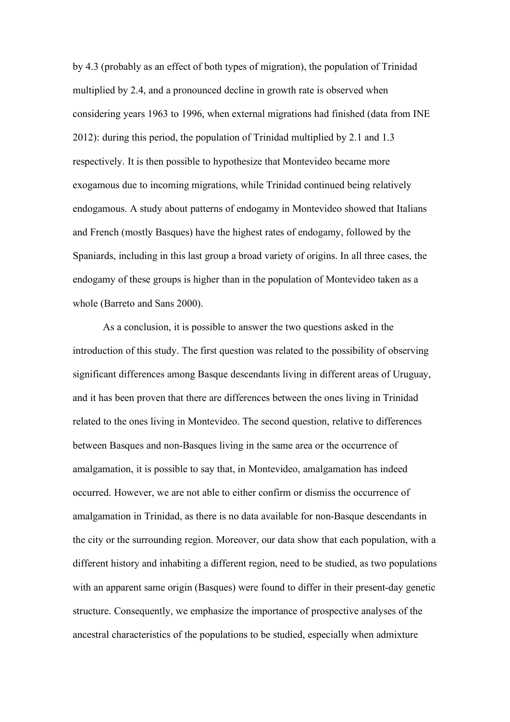by 4.3 (probably as an effect of both types of migration), the population of Trinidad multiplied by 2.4, and a pronounced decline in growth rate is observed when considering years 1963 to 1996, when external migrations had finished (data from INE 2012): during this period, the population of Trinidad multiplied by 2.1 and 1.3 respectively. It is then possible to hypothesize that Montevideo became more exogamous due to incoming migrations, while Trinidad continued being relatively endogamous. A study about patterns of endogamy in Montevideo showed that Italians and French (mostly Basques) have the highest rates of endogamy, followed by the Spaniards, including in this last group a broad variety of origins. In all three cases, the endogamy of these groups is higher than in the population of Montevideo taken as a whole (Barreto and Sans 2000).

As a conclusion, it is possible to answer the two questions asked in the introduction of this study. The first question was related to the possibility of observing significant differences among Basque descendants living in different areas of Uruguay, and it has been proven that there are differences between the ones living in Trinidad related to the ones living in Montevideo. The second question, relative to differences between Basques and non-Basques living in the same area or the occurrence of amalgamation, it is possible to say that, in Montevideo, amalgamation has indeed occurred. However, we are not able to either confirm or dismiss the occurrence of amalgamation in Trinidad, as there is no data available for non-Basque descendants in the city or the surrounding region. Moreover, our data show that each population, with a different history and inhabiting a different region, need to be studied, as two populations with an apparent same origin (Basques) were found to differ in their present-day genetic structure. Consequently, we emphasize the importance of prospective analyses of the ancestral characteristics of the populations to be studied, especially when admixture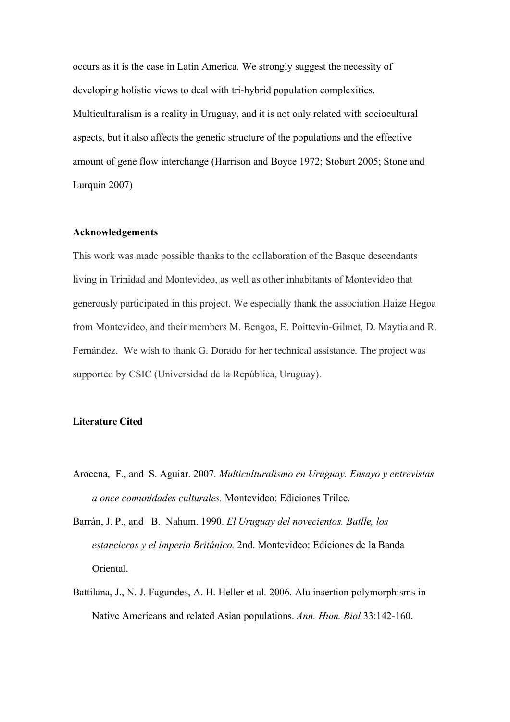occurs as it is the case in Latin America. We strongly suggest the necessity of developing holistic views to deal with tri-hybrid population complexities. Multiculturalism is a reality in Uruguay, and it is not only related with sociocultural aspects, but it also affects the genetic structure of the populations and the effective amount of gene flow interchange (Harrison and Boyce 1972; Stobart 2005; Stone and Lurquin 2007)

#### **Acknowledgements**

This work was made possible thanks to the collaboration of the Basque descendants living in Trinidad and Montevideo, as well as other inhabitants of Montevideo that generously participated in this project. We especially thank the association Haize Hegoa from Montevideo, and their members M. Bengoa, E. Poittevin-Gilmet, D. Maytia and R. Fernández. We wish to thank G. Dorado for her technical assistance. The project was supported by CSIC (Universidad de la República, Uruguay).

#### **Literature Cited**

- Arocena, F., and S. Aguiar. 2007. *Multiculturalismo en Uruguay. Ensayo y entrevistas a once comunidades culturales.* Montevideo: Ediciones Trilce.
- Barrán, J. P., and B. Nahum. 1990. *El Uruguay del novecientos. Batlle, los estancieros y el imperio Británico.* 2nd. Montevideo: Ediciones de la Banda Oriental.
- Battilana, J., N. J. Fagundes, A. H. Heller et al. 2006. Alu insertion polymorphisms in Native Americans and related Asian populations. *Ann. Hum. Biol* 33:142-160.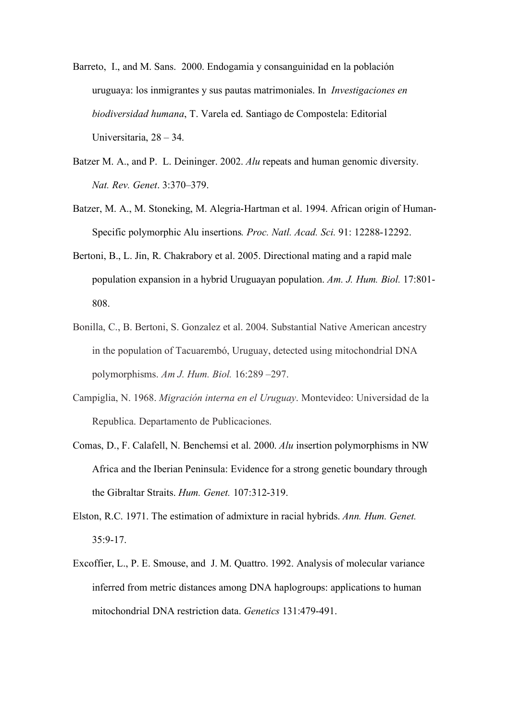- Barreto, I., and M. Sans. 2000. Endogamia y consanguinidad en la población uruguaya: los inmigrantes y sus pautas matrimoniales. In *Investigaciones en biodiversidad humana*, T. Varela ed. Santiago de Compostela: Editorial Universitaria, 28 – 34.
- Batzer M. A., and P. L. Deininger. 2002. *Alu* repeats and human genomic diversity. *Nat. Rev. Genet*. 3:370–379.
- Batzer, M. A., M. Stoneking, M. Alegria-Hartman et al. 1994. African origin of Human-Specific polymorphic Alu insertions*. Proc. Natl. Acad. Sci.* 91: 12288-12292.
- Bertoni, B., L. Jin, R. Chakrabory et al. 2005. Directional mating and a rapid male population expansion in a hybrid Uruguayan population. *Am. J. Hum. Biol.* 17:801- 808.
- Bonilla, C., B. Bertoni, S. Gonzalez et al. 2004. Substantial Native American ancestry in the population of Tacuarembó, Uruguay, detected using mitochondrial DNA polymorphisms. *Am J. Hum. Biol.* 16:289 –297.
- Campiglia, N. 1968. *Migración interna en el Uruguay*. Montevideo: Universidad de la Republica. Departamento de Publicaciones.
- Comas, D., F. Calafell, N. Benchemsi et al. 2000. *Alu* insertion polymorphisms in NW Africa and the Iberian Peninsula: Evidence for a strong genetic boundary through the Gibraltar Straits. *Hum. Genet.* 107:312-319.
- Elston, R.C. 1971. The estimation of admixture in racial hybrids. *Ann. Hum. Genet.*  $35:9 - 17$ .
- Excoffier, L., P. E. Smouse, and J. M. Quattro. 1992. Analysis of molecular variance inferred from metric distances among DNA haplogroups: applications to human mitochondrial DNA restriction data. *Genetics* 131:479-491.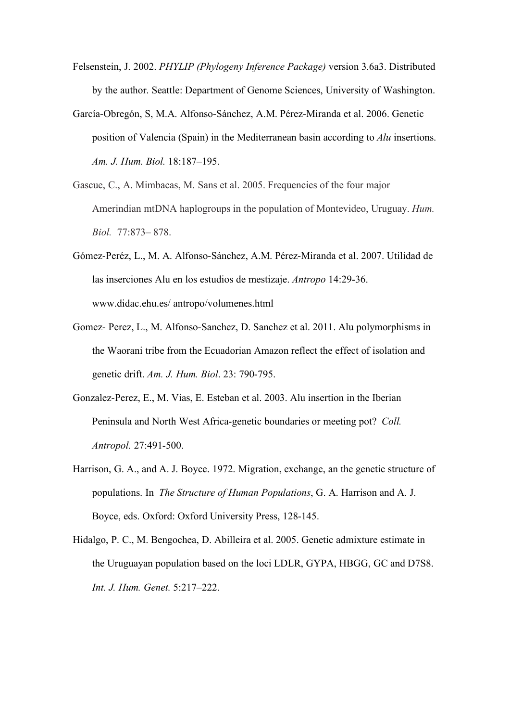- Felsenstein, J. 2002. *PHYLIP (Phylogeny Inference Package)* version 3.6a3. Distributed by the author. Seattle: Department of Genome Sciences, University of Washington.
- García-Obregón, S, M.A. Alfonso-Sánchez, A.M. Pérez-Miranda et al. 2006. Genetic position of Valencia (Spain) in the Mediterranean basin according to *Alu* insertions. *Am. J. Hum. Biol.* 18:187–195.
- Gascue, C., A. Mimbacas, M. Sans et al. 2005. Frequencies of the four major Amerindian mtDNA haplogroups in the population of Montevideo, Uruguay. *Hum. Biol.* 77:873– 878.
- Gómez-Peréz, L., M. A. Alfonso-Sánchez, A.M. Pérez-Miranda et al. 2007. Utilidad de las inserciones Alu en los estudios de mestizaje. *Antropo* 14:29-36. www.didac.ehu.es/ antropo/volumenes.html
- Gomez- Perez, L., M. Alfonso-Sanchez, D. Sanchez et al. 2011. Alu polymorphisms in the Waorani tribe from the Ecuadorian Amazon reflect the effect of isolation and genetic drift. *Am. J. Hum. Biol*. 23: 790-795.
- Gonzalez-Perez, E., M. Vias, E. Esteban et al. 2003. Alu insertion in the Iberian Peninsula and North West Africa-genetic boundaries or meeting pot? *Coll. Antropol.* 27:491-500.
- Harrison, G. A., and A. J. Boyce. 1972. Migration, exchange, an the genetic structure of populations. In *The Structure of Human Populations*, G. A. Harrison and A. J. Boyce, eds. Oxford: Oxford University Press, 128-145.
- Hidalgo, P. C., M. Bengochea, D. Abilleira et al. 2005. Genetic admixture estimate in the Uruguayan population based on the loci LDLR, GYPA, HBGG, GC and D7S8. *Int. J. Hum. Genet.* 5:217–222.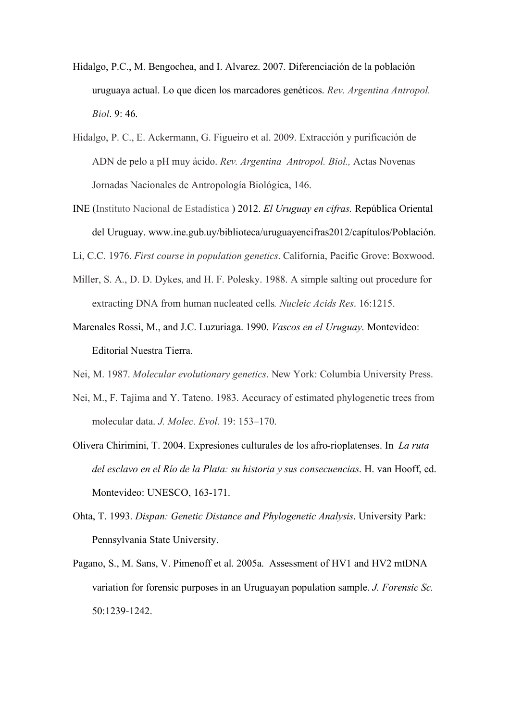- Hidalgo, P.C., M. Bengochea, and I. Alvarez. 2007. Diferenciación de la población uruguaya actual. Lo que dicen los marcadores genéticos. *Rev. Argentina Antropol. Biol*. 9: 46.
- Hidalgo, P. C., E. Ackermann, G. Figueiro et al. 2009. Extracción y purificación de ADN de pelo a pH muy ácido. *Rev. Argentina Antropol. Biol.,* Actas Novenas Jornadas Nacionales de Antropología Biológica, 146.
- INE (Instituto Nacional de Estadística ) 2012. *El Uruguay en cifras.* República Oriental del Uruguay. www.ine.gub.uy/biblioteca/uruguayencifras2012/capítulos/Población.
- Li, C.C. 1976. *First course in population genetics*. California, Pacific Grove: Boxwood.
- Miller, S. A., D. D. Dykes, and H. F. Polesky. 1988. A simple salting out procedure for extracting DNA from human nucleated cells*. Nucleic Acids Res*. 16:1215.
- Marenales Rossi, M., and J.C. Luzuriaga. 1990. *Vascos en el Uruguay*. Montevideo: Editorial Nuestra Tierra.
- Nei, M. 1987. *Molecular evolutionary genetics*. New York: Columbia University Press.
- Nei, M., F. Tajima and Y. Tateno. 1983. Accuracy of estimated phylogenetic trees from molecular data. *J. Molec. Evol.* 19: 153–170.
- Olivera Chirimini, T. 2004. Expresiones culturales de los afro-rioplatenses. In *La ruta del esclavo en el Río de la Plata: su historia y sus consecuencias*. H. van Hooff, ed. Montevideo: UNESCO, 163-171.
- Ohta, T. 1993. *Dispan: Genetic Distance and Phylogenetic Analysis*. University Park: Pennsylvania State University.
- Pagano, S., M. Sans, V. Pimenoff et al. 2005a. Assessment of HV1 and HV2 mtDNA variation for forensic purposes in an Uruguayan population sample. *J. Forensic Sc.* 50:1239-1242.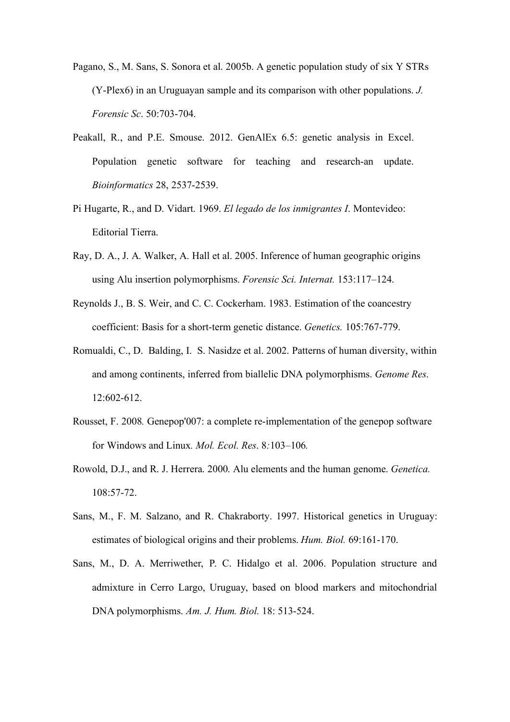- Pagano, S., M. Sans, S. Sonora et al. 2005b. A genetic population study of six Y STRs (Y-Plex6) in an Uruguayan sample and its comparison with other populations. *J. Forensic Sc*. 50:703-704.
- Peakall, R., and P.E. Smouse. 2012. GenAlEx 6.5: genetic analysis in Excel. Population genetic software for teaching and research-an update. *Bioinformatics* 28, 2537-2539.
- Pi Hugarte, R., and D. Vidart. 1969. *El legado de los inmigrantes I*. Montevideo: Editorial Tierra.
- Ray, D. A., J. A. Walker, A. Hall et al. 2005. Inference of human geographic origins using Alu insertion polymorphisms. *Forensic Sci. Internat.* 153:117–124.
- Reynolds J., B. S. Weir, and C. C. Cockerham. 1983. Estimation of the coancestry coefficient: Basis for a short-term genetic distance. *Genetics.* 105:767-779.
- Romualdi, C., D. Balding, I. S. Nasidze et al. 2002. Patterns of human diversity, within and among continents, inferred from biallelic DNA polymorphisms. *Genome Res*. 12:602-612.
- Rousset, F. 2008*.* Genepop'007: a complete re-implementation of the genepop software for Windows and Linux*. Mol. Ecol. Res*. 8*:*103*–*106*.*
- Rowold, D.J., and R. J. Herrera. 2000. Alu elements and the human genome. *Genetica.* 108:57-72.
- Sans, M., F. M. Salzano, and R. Chakraborty. 1997. Historical genetics in Uruguay: estimates of biological origins and their problems. *Hum. Biol.* 69:161-170.
- Sans, M., D. A. Merriwether, P. C. Hidalgo et al. 2006. Population structure and admixture in Cerro Largo, Uruguay, based on blood markers and mitochondrial DNA polymorphisms. *Am. J. Hum. Biol.* 18: 513-524.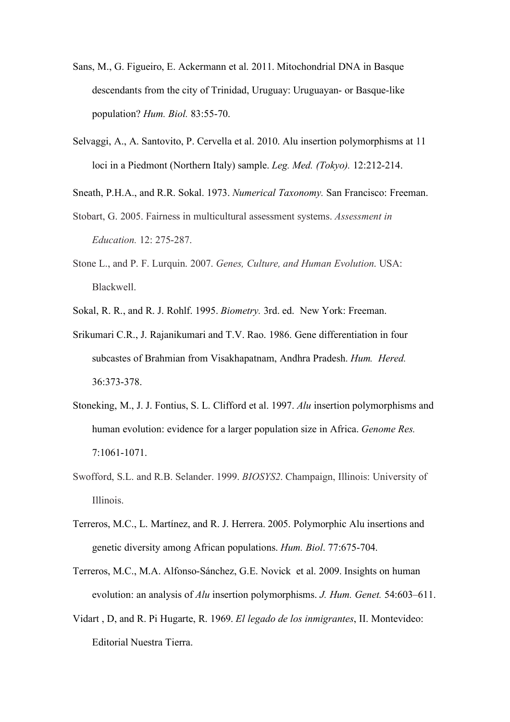- Sans, M., G. Figueiro, E. Ackermann et al. 2011. Mitochondrial DNA in Basque descendants from the city of Trinidad, Uruguay: Uruguayan- or Basque-like population? *Hum. Biol.* 83:55-70.
- Selvaggi, A., A. Santovito, P. Cervella et al. 2010. Alu insertion polymorphisms at 11 loci in a Piedmont (Northern Italy) sample. *Leg. Med. (Tokyo).* 12:212-214.
- Sneath, P.H.A., and R.R. Sokal. 1973. *Numerical Taxonomy.* San Francisco: Freeman.
- Stobart, G. 2005. Fairness in multicultural assessment systems. *Assessment in Education.* 12: 275-287.
- Stone L., and P. F. Lurquin. 2007. *Genes, Culture, and Human Evolution*. USA: Blackwell.
- Sokal, R. R., and R. J. Rohlf. 1995. *Biometry.* 3rd. ed. New York: Freeman.
- Srikumari C.R., J. Rajanikumari and T.V. Rao. 1986. Gene differentiation in four subcastes of Brahmian from Visakhapatnam, Andhra Pradesh. *Hum. Hered.* 36:373-378.
- Stoneking, M., J. J. Fontius, S. L. Clifford et al. 1997. *Alu* insertion polymorphisms and human evolution: evidence for a larger population size in Africa. *Genome Res.* 7:1061-1071.
- Swofford, S.L. and R.B. Selander. 1999. *BIOSYS2*. Champaign, Illinois: University of Illinois.
- Terreros, M.C., L. Martínez, and R. J. Herrera. 2005. Polymorphic Alu insertions and genetic diversity among African populations. *Hum. Biol*. 77:675-704.
- Terreros, M.C., M.A. Alfonso-Sánchez, G.E. Novick et al. 2009. Insights on human evolution: an analysis of *Alu* insertion polymorphisms. *J. Hum. Genet.* 54:603–611.
- Vidart , D, and R. Pi Hugarte, R. 1969. *El legado de los inmigrantes*, II. Montevideo: Editorial Nuestra Tierra.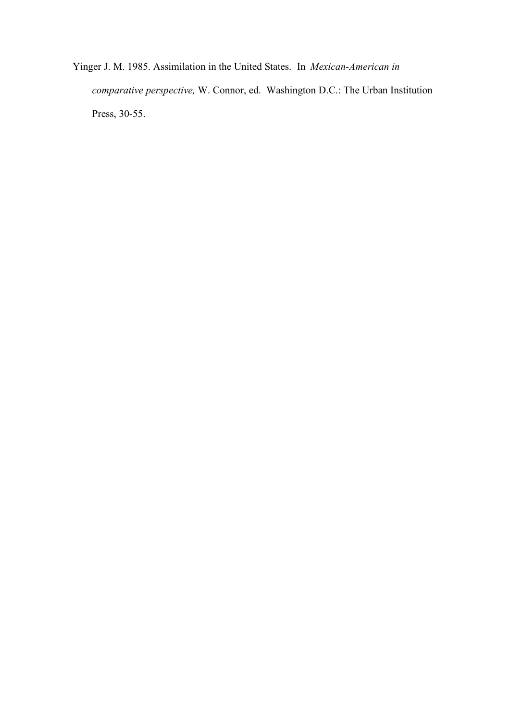Yinger J. M. 1985. Assimilation in the United States. In *Mexican-American in comparative perspective,* W. Connor, ed. Washington D.C.: The Urban Institution Press, 30-55.